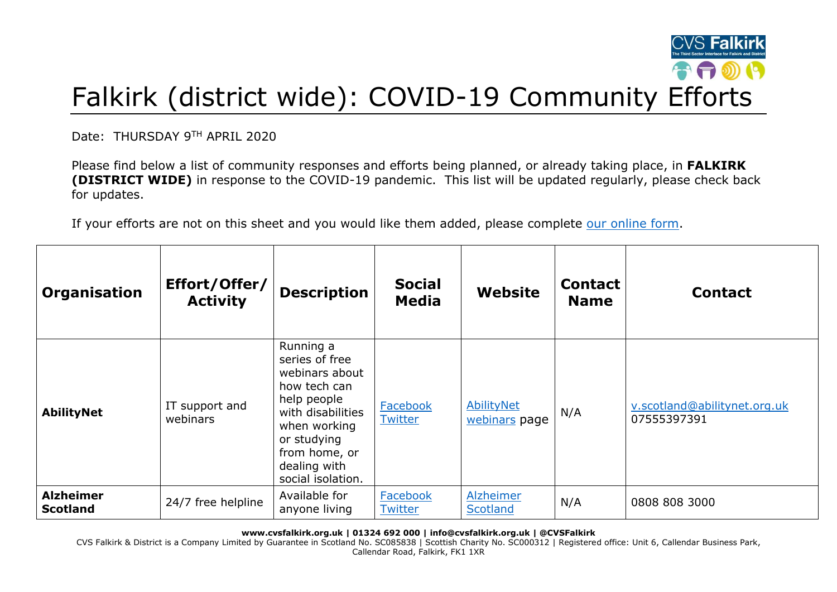

## Falkirk (district wide): COVID-19 Community Efforts

Date: THURSDAY 9TH APRIL 2020

Please find below a list of community responses and efforts being planned, or already taking place, in **FALKIRK (DISTRICT WIDE)** in response to the COVID-19 pandemic. This list will be updated regularly, please check back for updates.

If your efforts are not on this sheet and you would like them added, please complete [our online form.](https://forms.office.com/Pages/ResponsePage.aspx?id=6VEZaLCW4EefTnjqs1GaupRwm5MIeS1HoQIx_4VQsBJUODFFNjQ4S0YzN0tIODdPOUJWTTJFNkg2QS4u)

| Organisation                        | Effort/Offer/<br><b>Activity</b> | <b>Description</b>                                                                                                                                                                     | <b>Social</b><br><b>Media</b> | Website                      | <b>Contact</b><br><b>Name</b> | <b>Contact</b>                              |
|-------------------------------------|----------------------------------|----------------------------------------------------------------------------------------------------------------------------------------------------------------------------------------|-------------------------------|------------------------------|-------------------------------|---------------------------------------------|
| <b>AbilityNet</b>                   | IT support and<br>webinars       | Running a<br>series of free<br>webinars about<br>how tech can<br>help people<br>with disabilities<br>when working<br>or studying<br>from home, or<br>dealing with<br>social isolation. | Facebook<br><b>Twitter</b>    | AbilityNet<br>webinars page  | N/A                           | v.scotland@abilitynet.org.uk<br>07555397391 |
| <b>Alzheimer</b><br><b>Scotland</b> | 24/7 free helpline               | Available for<br>anyone living                                                                                                                                                         | Facebook<br><b>Twitter</b>    | Alzheimer<br><b>Scotland</b> | N/A                           | 0808 808 3000                               |

**www.cvsfalkirk.org.uk | 01324 692 000 | info@cvsfalkirk.org.uk | @CVSFalkirk**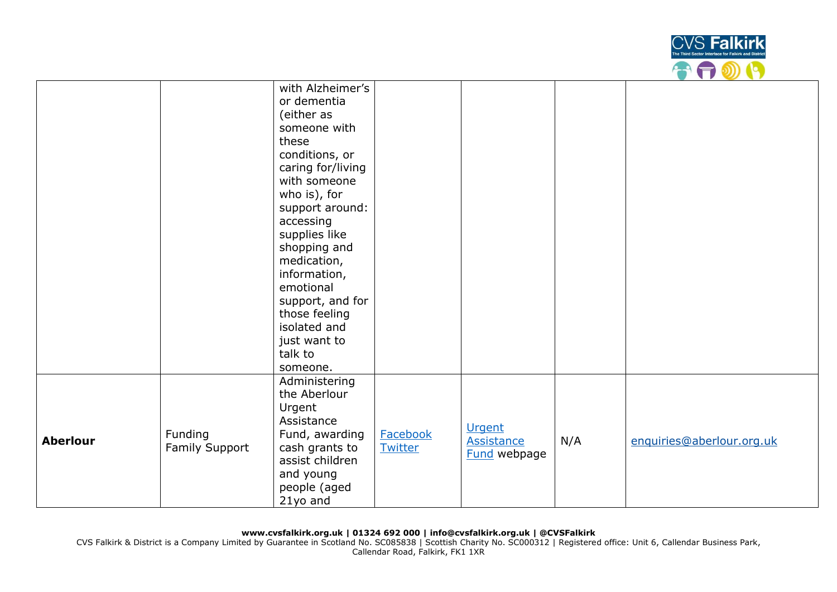

|                 |                           | with Alzheimer's<br>or dementia<br>(either as<br>someone with<br>these<br>conditions, or<br>caring for/living<br>with someone<br>who is), for<br>support around:<br>accessing<br>supplies like<br>shopping and<br>medication,<br>information,<br>emotional<br>support, and for |                     |                                                    |     |                           |
|-----------------|---------------------------|--------------------------------------------------------------------------------------------------------------------------------------------------------------------------------------------------------------------------------------------------------------------------------|---------------------|----------------------------------------------------|-----|---------------------------|
|                 |                           | just want to<br>talk to<br>someone.                                                                                                                                                                                                                                            |                     |                                                    |     |                           |
| <b>Aberlour</b> | Funding<br>Family Support | Administering<br>the Aberlour<br>Urgent<br>Assistance<br>Fund, awarding<br>cash grants to<br>assist children<br>and young<br>people (aged<br>21yo and                                                                                                                          | Facebook<br>Twitter | <b>Urgent</b><br>Assistance<br><b>Fund</b> webpage | N/A | enquiries@aberlour.org.uk |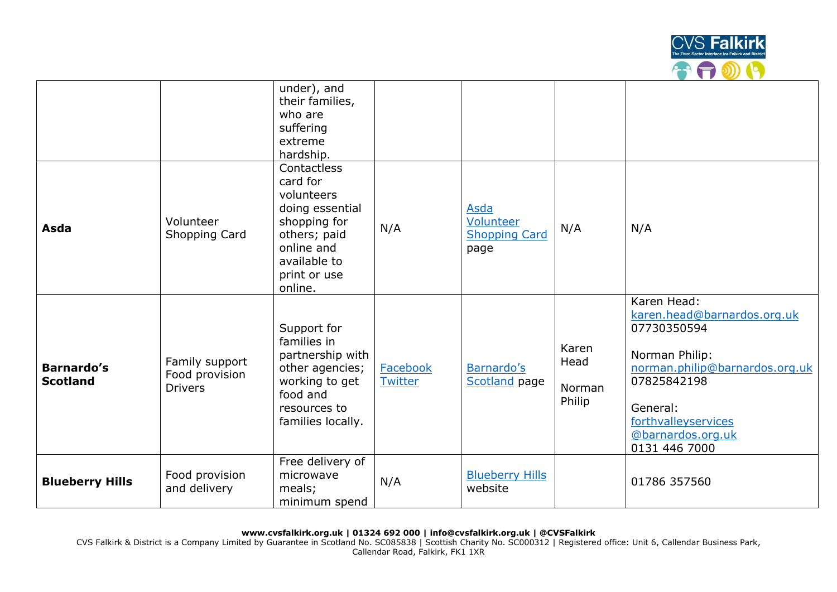

|                                      |                                                    | under), and<br>their families,<br>who are<br>suffering<br>extreme<br>hardship.                                                                    |                     |                                                   |                                   |                                                                                                                                                                                                       |
|--------------------------------------|----------------------------------------------------|---------------------------------------------------------------------------------------------------------------------------------------------------|---------------------|---------------------------------------------------|-----------------------------------|-------------------------------------------------------------------------------------------------------------------------------------------------------------------------------------------------------|
| Asda                                 | Volunteer<br>Shopping Card                         | Contactless<br>card for<br>volunteers<br>doing essential<br>shopping for<br>others; paid<br>online and<br>available to<br>print or use<br>online. | N/A                 | Asda<br>Volunteer<br><b>Shopping Card</b><br>page | N/A                               | N/A                                                                                                                                                                                                   |
| <b>Barnardo's</b><br><b>Scotland</b> | Family support<br>Food provision<br><b>Drivers</b> | Support for<br>families in<br>partnership with<br>other agencies;<br>working to get<br>food and<br>resources to<br>families locally.              | Facebook<br>Twitter | Barnardo's<br>Scotland page                       | Karen<br>Head<br>Norman<br>Philip | Karen Head:<br>karen.head@barnardos.org.uk<br>07730350594<br>Norman Philip:<br>norman.philip@barnardos.org.uk<br>07825842198<br>General:<br>forthvalleyservices<br>@barnardos.org.uk<br>0131 446 7000 |
| <b>Blueberry Hills</b>               | Food provision<br>and delivery                     | Free delivery of<br>microwave<br>meals;<br>minimum spend                                                                                          | N/A                 | <b>Blueberry Hills</b><br>website                 |                                   | 01786 357560                                                                                                                                                                                          |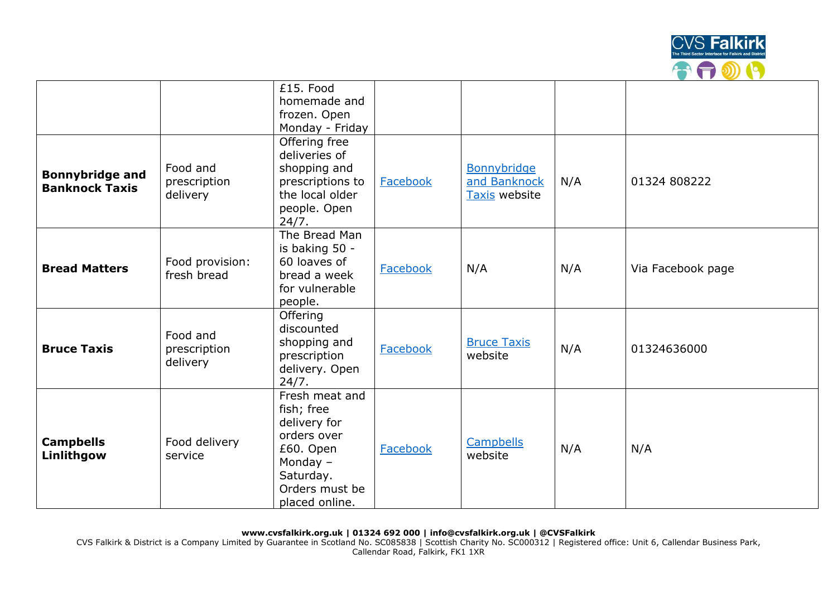

|                                                 |                                      | £15. Food<br>homemade and<br>frozen. Open<br>Monday - Friday                                                                            |          |                                              |     |                   |
|-------------------------------------------------|--------------------------------------|-----------------------------------------------------------------------------------------------------------------------------------------|----------|----------------------------------------------|-----|-------------------|
| <b>Bonnybridge and</b><br><b>Banknock Taxis</b> | Food and<br>prescription<br>delivery | Offering free<br>deliveries of<br>shopping and<br>prescriptions to<br>the local older<br>people. Open<br>24/7.                          | Facebook | Bonnybridge<br>and Banknock<br>Taxis website | N/A | 01324 808222      |
| <b>Bread Matters</b>                            | Food provision:<br>fresh bread       | The Bread Man<br>is baking 50 -<br>60 loaves of<br>bread a week<br>for vulnerable<br>people.                                            | Facebook | N/A                                          | N/A | Via Facebook page |
| <b>Bruce Taxis</b>                              | Food and<br>prescription<br>delivery | Offering<br>discounted<br>shopping and<br>prescription<br>delivery. Open<br>24/7.                                                       | Facebook | <b>Bruce Taxis</b><br>website                | N/A | 01324636000       |
| <b>Campbells</b><br>Linlithgow                  | Food delivery<br>service             | Fresh meat and<br>fish; free<br>delivery for<br>orders over<br>£60. Open<br>Monday $-$<br>Saturday.<br>Orders must be<br>placed online. | Facebook | <b>Campbells</b><br>website                  | N/A | N/A               |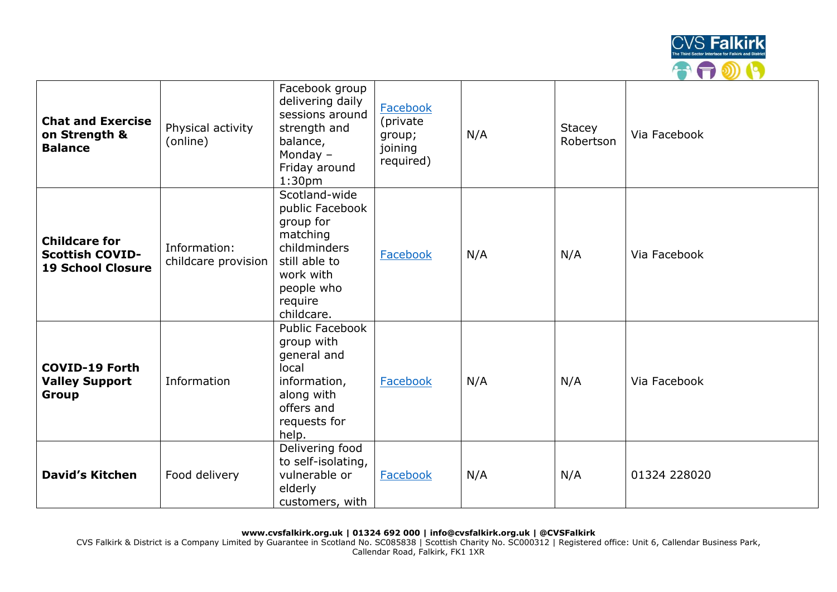

| <b>Chat and Exercise</b><br>on Strength &<br><b>Balance</b>                | Physical activity<br>(online)       | Facebook group<br>delivering daily<br>sessions around<br>strength and<br>balance,<br>Monday $-$<br>Friday around<br>1:30 <sub>pm</sub>         | Facebook<br>(private<br>group;<br>joining<br>required) | N/A | <b>Stacey</b><br>Robertson | Via Facebook |
|----------------------------------------------------------------------------|-------------------------------------|------------------------------------------------------------------------------------------------------------------------------------------------|--------------------------------------------------------|-----|----------------------------|--------------|
| <b>Childcare for</b><br><b>Scottish COVID-</b><br><b>19 School Closure</b> | Information:<br>childcare provision | Scotland-wide<br>public Facebook<br>group for<br>matching<br>childminders<br>still able to<br>work with<br>people who<br>require<br>childcare. | Facebook                                               | N/A | N/A                        | Via Facebook |
| <b>COVID-19 Forth</b><br><b>Valley Support</b><br>Group                    | Information                         | <b>Public Facebook</b><br>group with<br>general and<br>local<br>information,<br>along with<br>offers and<br>requests for<br>help.              | Facebook                                               | N/A | N/A                        | Via Facebook |
| <b>David's Kitchen</b>                                                     | Food delivery                       | Delivering food<br>to self-isolating,<br>vulnerable or<br>elderly<br>customers, with                                                           | Facebook                                               | N/A | N/A                        | 01324 228020 |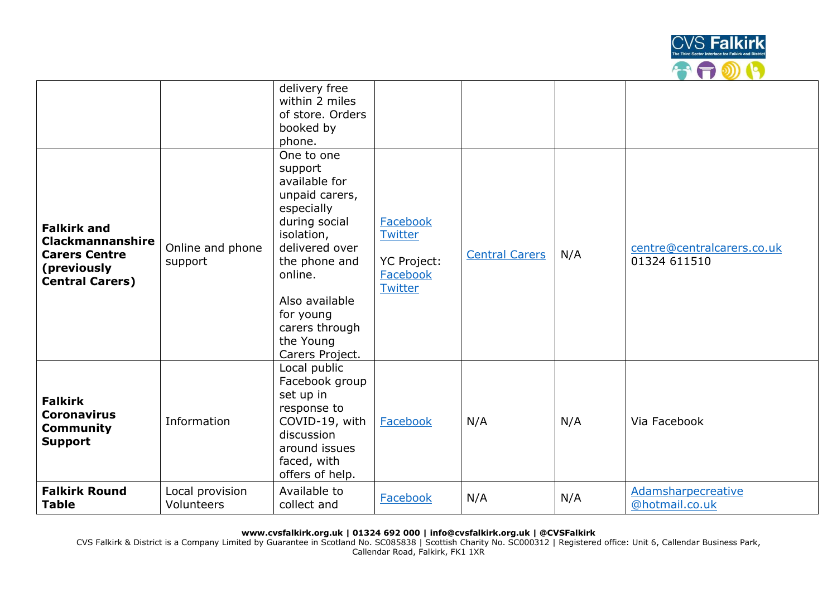

|                                                                                                                |                               | delivery free<br>within 2 miles<br>of store. Orders<br>booked by<br>phone.<br>One to one<br>support<br>available for                                                                       |                                                           |                       |     |                                            |
|----------------------------------------------------------------------------------------------------------------|-------------------------------|--------------------------------------------------------------------------------------------------------------------------------------------------------------------------------------------|-----------------------------------------------------------|-----------------------|-----|--------------------------------------------|
| <b>Falkirk and</b><br><b>Clackmannanshire</b><br><b>Carers Centre</b><br>(previously<br><b>Central Carers)</b> | Online and phone<br>support   | unpaid carers,<br>especially<br>during social<br>isolation,<br>delivered over<br>the phone and<br>online.<br>Also available<br>for young<br>carers through<br>the Young<br>Carers Project. | Facebook<br>Twitter<br>YC Project:<br>Facebook<br>Twitter | <b>Central Carers</b> | N/A | centre@centralcarers.co.uk<br>01324 611510 |
| <b>Falkirk</b><br><b>Coronavirus</b><br><b>Community</b><br><b>Support</b>                                     | Information                   | Local public<br>Facebook group<br>set up in<br>response to<br>COVID-19, with<br>discussion<br>around issues<br>faced, with<br>offers of help.                                              | Facebook                                                  | N/A                   | N/A | Via Facebook                               |
| <b>Falkirk Round</b><br><b>Table</b>                                                                           | Local provision<br>Volunteers | Available to<br>collect and                                                                                                                                                                | Facebook                                                  | N/A                   | N/A | Adamsharpecreative<br>@hotmail.co.uk       |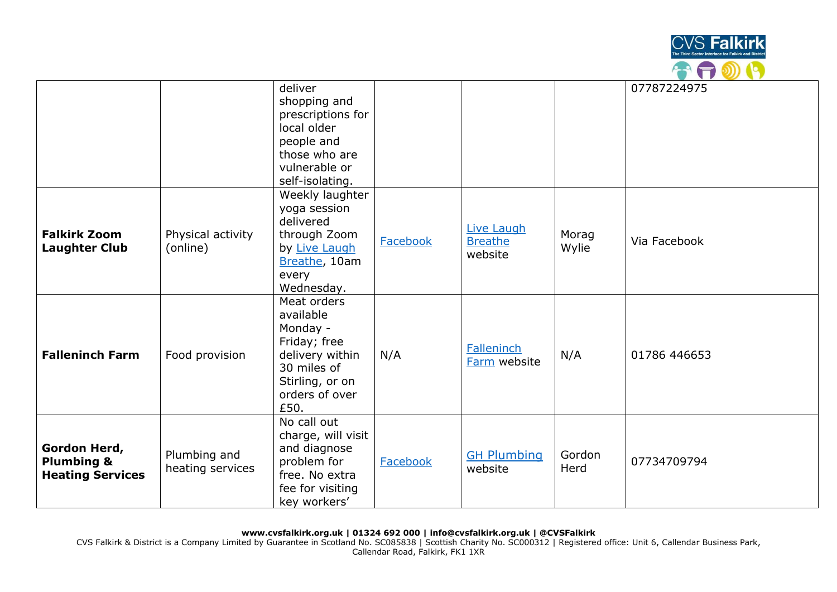

|                                                                  |                                  | deliver<br>shopping and<br>prescriptions for<br>local older<br>people and<br>those who are<br>vulnerable or<br>self-isolating.      |          |                                                |                | 07787224975  |
|------------------------------------------------------------------|----------------------------------|-------------------------------------------------------------------------------------------------------------------------------------|----------|------------------------------------------------|----------------|--------------|
| <b>Falkirk Zoom</b><br><b>Laughter Club</b>                      | Physical activity<br>(online)    | Weekly laughter<br>yoga session<br>delivered<br>through Zoom<br>by Live Laugh<br>Breathe, 10am<br>every<br>Wednesday.               | Facebook | <b>Live Laugh</b><br><b>Breathe</b><br>website | Morag<br>Wylie | Via Facebook |
| <b>Falleninch Farm</b>                                           | Food provision                   | Meat orders<br>available<br>Monday -<br>Friday; free<br>delivery within<br>30 miles of<br>Stirling, or on<br>orders of over<br>£50. | N/A      | <b>Falleninch</b><br>Farm website              | N/A            | 01786 446653 |
| Gordon Herd,<br><b>Plumbing &amp;</b><br><b>Heating Services</b> | Plumbing and<br>heating services | No call out<br>charge, will visit<br>and diagnose<br>problem for<br>free. No extra<br>fee for visiting<br>key workers'              | Facebook | <b>GH Plumbing</b><br>website                  | Gordon<br>Herd | 07734709794  |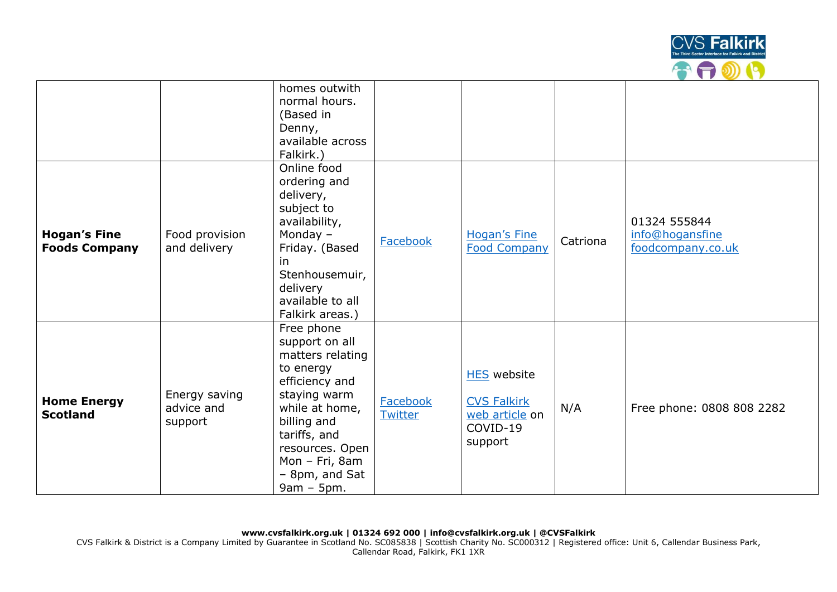

|                                             |                                        | homes outwith<br>normal hours.<br>(Based in<br>Denny,<br>available across<br>Falkirk.)                                                                                                                                  |                            |                                                                                   |          |                                                      |
|---------------------------------------------|----------------------------------------|-------------------------------------------------------------------------------------------------------------------------------------------------------------------------------------------------------------------------|----------------------------|-----------------------------------------------------------------------------------|----------|------------------------------------------------------|
| <b>Hogan's Fine</b><br><b>Foods Company</b> | Food provision<br>and delivery         | Online food<br>ordering and<br>delivery,<br>subject to<br>availability,<br>Monday $-$<br>Friday. (Based<br>in.<br>Stenhousemuir,<br>delivery<br>available to all<br>Falkirk areas.)                                     | <b>Facebook</b>            | <b>Hogan's Fine</b><br><b>Food Company</b>                                        | Catriona | 01324 555844<br>info@hogansfine<br>foodcompany.co.uk |
| <b>Home Energy</b><br><b>Scotland</b>       | Energy saving<br>advice and<br>support | Free phone<br>support on all<br>matters relating<br>to energy<br>efficiency and<br>staying warm<br>while at home,<br>billing and<br>tariffs, and<br>resources. Open<br>Mon - Fri, 8am<br>- 8pm, and Sat<br>$9am - 5pm.$ | <b>Facebook</b><br>Twitter | <b>HES</b> website<br><b>CVS Falkirk</b><br>web article on<br>COVID-19<br>support | N/A      | Free phone: 0808 808 2282                            |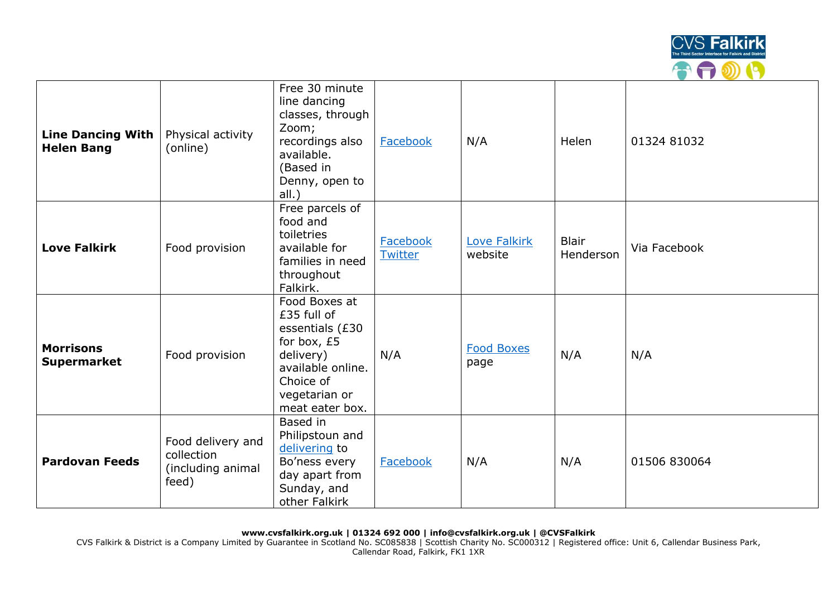

| Line Dancing With<br><b>Helen Bang</b> | Physical activity<br>(online)                                 | Free 30 minute<br>line dancing<br>classes, through<br>Zoom;<br>recordings also<br>available.<br>(Based in<br>Denny, open to<br>all.)              | Facebook            | N/A                            | Helen                     | 01324 81032  |
|----------------------------------------|---------------------------------------------------------------|---------------------------------------------------------------------------------------------------------------------------------------------------|---------------------|--------------------------------|---------------------------|--------------|
| <b>Love Falkirk</b>                    | Food provision                                                | Free parcels of<br>food and<br>toiletries<br>available for<br>families in need<br>throughout<br>Falkirk.                                          | Facebook<br>Twitter | <b>Love Falkirk</b><br>website | <b>Blair</b><br>Henderson | Via Facebook |
| <b>Morrisons</b><br><b>Supermarket</b> | Food provision                                                | Food Boxes at<br>£35 full of<br>essentials (£30<br>for box, £5<br>delivery)<br>available online.<br>Choice of<br>vegetarian or<br>meat eater box. | N/A                 | <b>Food Boxes</b><br>page      | N/A                       | N/A          |
| <b>Pardovan Feeds</b>                  | Food delivery and<br>collection<br>(including animal<br>feed) | Based in<br>Philipstoun and<br>delivering to<br>Bo'ness every<br>day apart from<br>Sunday, and<br>other Falkirk                                   | Facebook            | N/A                            | N/A                       | 01506 830064 |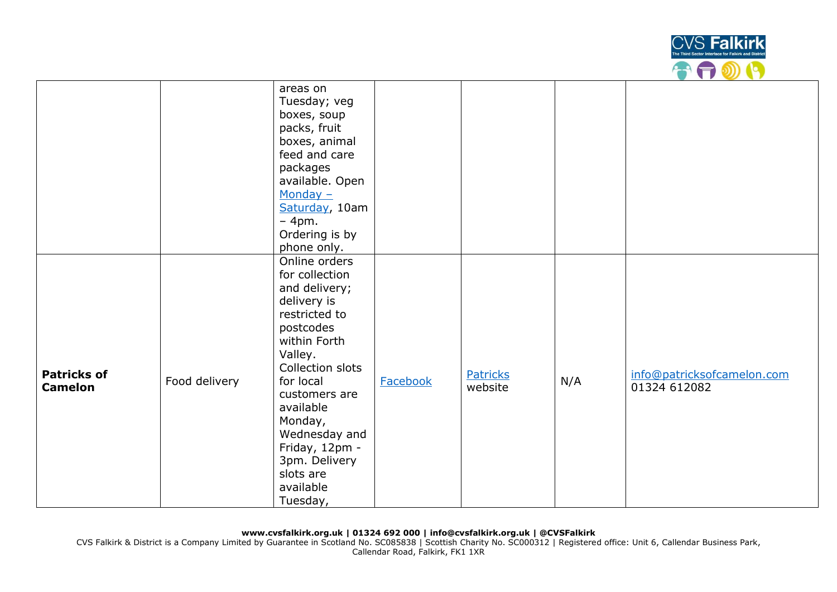

|                                      |               | areas on<br>Tuesday; veg<br>boxes, soup<br>packs, fruit<br>boxes, animal<br>feed and care<br>packages<br>available. Open<br>Monday $-$<br>Saturday, 10am<br>$-4$ pm.<br>Ordering is by<br>phone only.                                                                                        |          |                     |     |                                            |
|--------------------------------------|---------------|----------------------------------------------------------------------------------------------------------------------------------------------------------------------------------------------------------------------------------------------------------------------------------------------|----------|---------------------|-----|--------------------------------------------|
| <b>Patricks of</b><br><b>Camelon</b> | Food delivery | Online orders<br>for collection<br>and delivery;<br>delivery is<br>restricted to<br>postcodes<br>within Forth<br>Valley.<br>Collection slots<br>for local<br>customers are<br>available<br>Monday,<br>Wednesday and<br>Friday, 12pm -<br>3pm. Delivery<br>slots are<br>available<br>Tuesday, | Facebook | Patricks<br>website | N/A | info@patricksofcamelon.com<br>01324 612082 |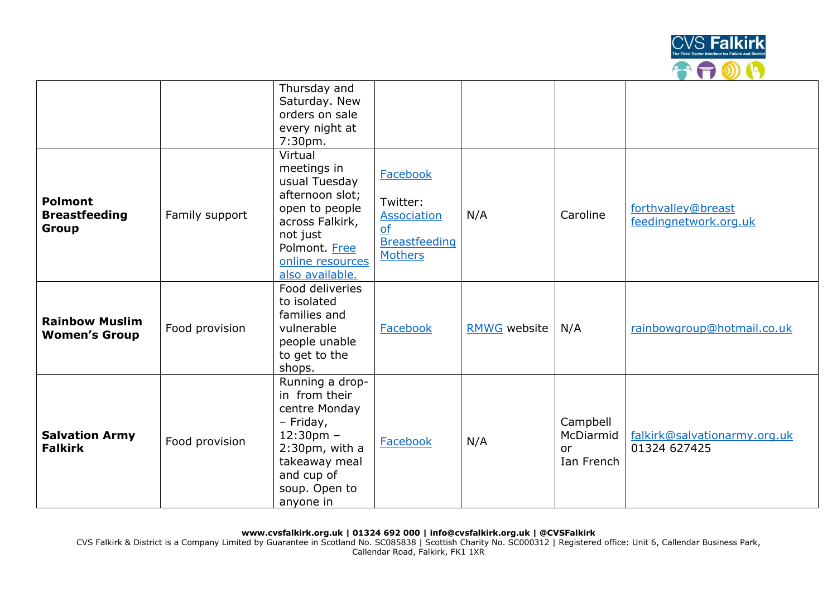

|                                                 |                | Thursday and<br>Saturday. New<br>orders on sale<br>every night at                                                                                                |                                                                                            |                     |                                                  |                                              |
|-------------------------------------------------|----------------|------------------------------------------------------------------------------------------------------------------------------------------------------------------|--------------------------------------------------------------------------------------------|---------------------|--------------------------------------------------|----------------------------------------------|
|                                                 |                | 7:30pm.                                                                                                                                                          |                                                                                            |                     |                                                  |                                              |
| <b>Polmont</b><br><b>Breastfeeding</b><br>Group | Family support | Virtual<br>meetings in<br>usual Tuesday<br>afternoon slot;<br>open to people<br>across Falkirk,<br>not just<br>Polmont. Free<br>online resources                 | Facebook<br>Twitter:<br><b>Association</b><br>of<br><b>Breastfeeding</b><br><b>Mothers</b> | N/A                 | Caroline                                         | forthvalley@breast<br>feedingnetwork.org.uk  |
| <b>Rainbow Muslim</b><br><b>Women's Group</b>   | Food provision | also available.<br>Food deliveries<br>to isolated<br>families and<br>vulnerable<br>people unable<br>to get to the<br>shops.                                      | Facebook                                                                                   | <b>RMWG</b> website | N/A                                              | rainbowgroup@hotmail.co.uk                   |
| <b>Salvation Army</b><br><b>Falkirk</b>         | Food provision | Running a drop-<br>in from their<br>centre Monday<br>- Friday,<br>$12:30$ pm -<br>$2:30$ pm, with a<br>takeaway meal<br>and cup of<br>soup. Open to<br>anyone in | <b>Facebook</b>                                                                            | N/A                 | Campbell<br>McDiarmid<br><b>or</b><br>Ian French | falkirk@salvationarmy.org.uk<br>01324 627425 |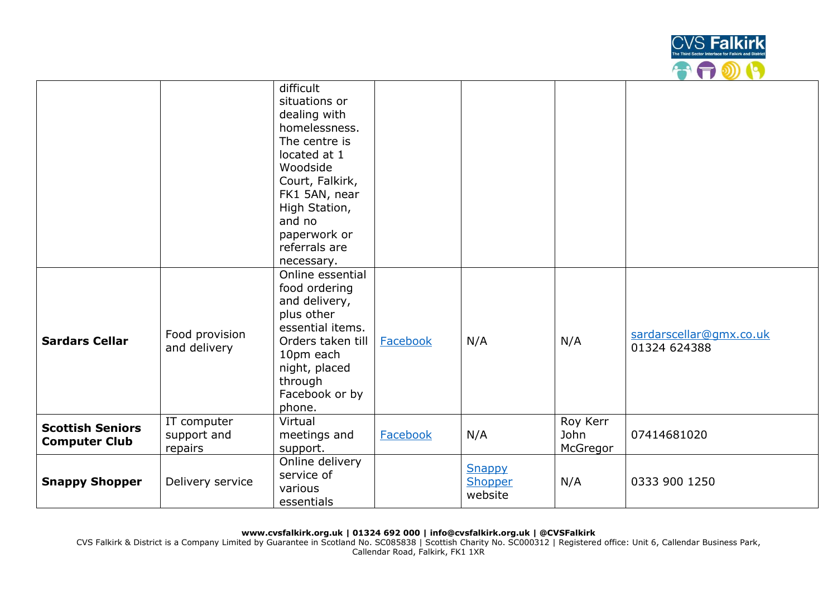

|                                                 |                                       | difficult<br>situations or<br>dealing with<br>homelessness.<br>The centre is<br>located at 1<br>Woodside<br>Court, Falkirk,<br>FK1 5AN, near<br>High Station,<br>and no<br>paperwork or<br>referrals are<br>necessary. |          |                              |                              |                                         |
|-------------------------------------------------|---------------------------------------|------------------------------------------------------------------------------------------------------------------------------------------------------------------------------------------------------------------------|----------|------------------------------|------------------------------|-----------------------------------------|
| <b>Sardars Cellar</b>                           | Food provision<br>and delivery        | Online essential<br>food ordering<br>and delivery,<br>plus other<br>essential items.<br>Orders taken till<br>10pm each<br>night, placed<br>through<br>Facebook or by<br>phone.                                         | Facebook | N/A                          | N/A                          | sardarscellar@gmx.co.uk<br>01324 624388 |
| <b>Scottish Seniors</b><br><b>Computer Club</b> | IT computer<br>support and<br>repairs | Virtual<br>meetings and<br>support.                                                                                                                                                                                    | Facebook | N/A                          | Roy Kerr<br>John<br>McGregor | 07414681020                             |
| <b>Snappy Shopper</b>                           | Delivery service                      | Online delivery<br>service of<br>various<br>essentials                                                                                                                                                                 |          | Snappy<br>Shopper<br>website | N/A                          | 0333 900 1250                           |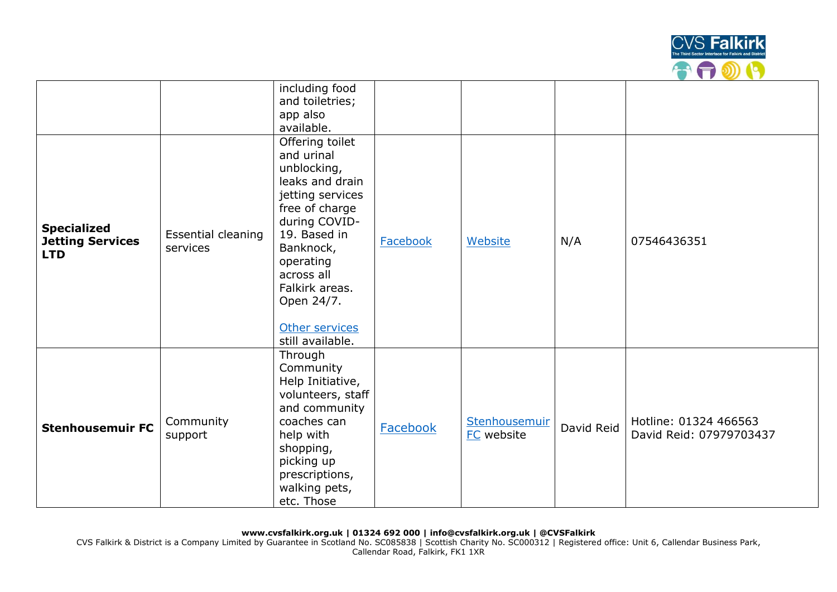

|                                                             |                                | including food<br>and toiletries;<br>app also<br>available.                                                                                                                                                                                          |                 |                             |            |                                                  |
|-------------------------------------------------------------|--------------------------------|------------------------------------------------------------------------------------------------------------------------------------------------------------------------------------------------------------------------------------------------------|-----------------|-----------------------------|------------|--------------------------------------------------|
| <b>Specialized</b><br><b>Jetting Services</b><br><b>LTD</b> | Essential cleaning<br>services | Offering toilet<br>and urinal<br>unblocking,<br>leaks and drain<br>jetting services<br>free of charge<br>during COVID-<br>19. Based in<br>Banknock,<br>operating<br>across all<br>Falkirk areas.<br>Open 24/7.<br>Other services<br>still available. | <b>Facebook</b> | Website                     | N/A        | 07546436351                                      |
| <b>Stenhousemuir FC</b>                                     | Community<br>support           | Through<br>Community<br>Help Initiative,<br>volunteers, staff<br>and community<br>coaches can<br>help with<br>shopping,<br>picking up<br>prescriptions,<br>walking pets,<br>etc. Those                                                               | Facebook        | Stenhousemuir<br>FC website | David Reid | Hotline: 01324 466563<br>David Reid: 07979703437 |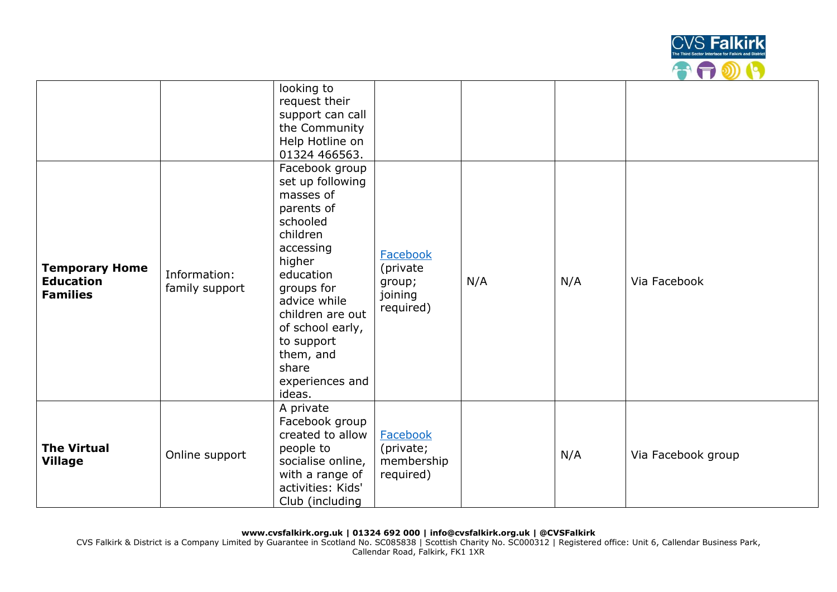

|                                                              |                                | looking to<br>request their<br>support can call<br>the Community<br>Help Hotline on<br>01324 466563.                                                                                                                                                             |                                                        |     |     |                    |
|--------------------------------------------------------------|--------------------------------|------------------------------------------------------------------------------------------------------------------------------------------------------------------------------------------------------------------------------------------------------------------|--------------------------------------------------------|-----|-----|--------------------|
| <b>Temporary Home</b><br><b>Education</b><br><b>Families</b> | Information:<br>family support | Facebook group<br>set up following<br>masses of<br>parents of<br>schooled<br>children<br>accessing<br>higher<br>education<br>groups for<br>advice while<br>children are out<br>of school early,<br>to support<br>them, and<br>share<br>experiences and<br>ideas. | Facebook<br>(private<br>group;<br>joining<br>required) | N/A | N/A | Via Facebook       |
| <b>The Virtual</b><br><b>Village</b>                         | Online support                 | A private<br>Facebook group<br>created to allow<br>people to<br>socialise online,<br>with a range of<br>activities: Kids'<br>Club (including                                                                                                                     | Facebook<br>(private;<br>membership<br>required)       |     | N/A | Via Facebook group |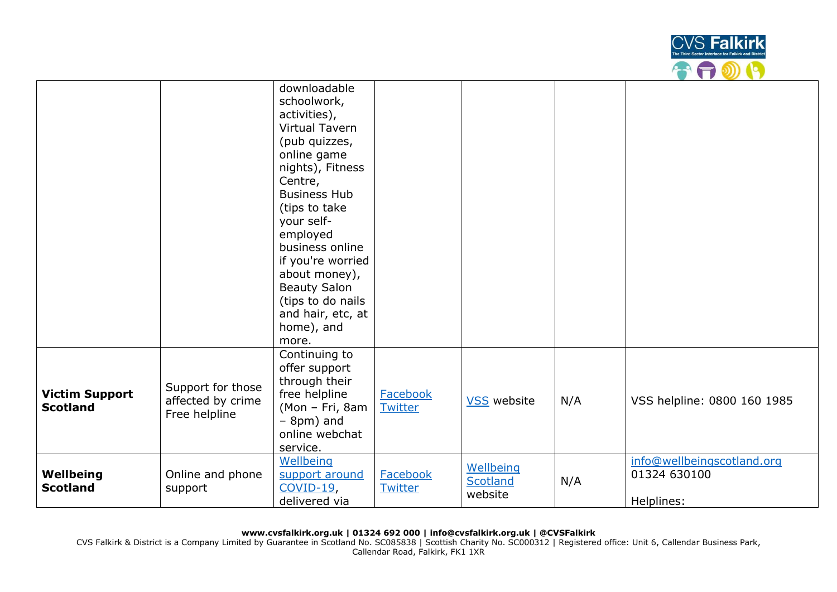

|                                          |                                                         | downloadable<br>schoolwork,<br>activities),<br>Virtual Tavern<br>(pub quizzes,<br>online game<br>nights), Fitness<br>Centre,<br><b>Business Hub</b><br>(tips to take<br>your self-<br>employed<br>business online<br>if you're worried<br>about money),<br><b>Beauty Salon</b><br>(tips to do nails<br>and hair, etc, at<br>home), and |                            |                                  |     |                                                          |
|------------------------------------------|---------------------------------------------------------|----------------------------------------------------------------------------------------------------------------------------------------------------------------------------------------------------------------------------------------------------------------------------------------------------------------------------------------|----------------------------|----------------------------------|-----|----------------------------------------------------------|
| <b>Victim Support</b><br><b>Scotland</b> | Support for those<br>affected by crime<br>Free helpline | more.<br>Continuing to<br>offer support<br>through their<br>free helpline<br>(Mon - Fri, 8am<br>$-$ 8pm) and<br>online webchat<br>service.                                                                                                                                                                                             | <b>Facebook</b><br>Twitter | <b>VSS</b> website               | N/A | VSS helpline: 0800 160 1985                              |
| Wellbeing<br><b>Scotland</b>             | Online and phone<br>support                             | Wellbeing<br>support around<br>$COVID-19$<br>delivered via                                                                                                                                                                                                                                                                             | Facebook<br>Twitter        | Wellbeing<br>Scotland<br>website | N/A | info@wellbeingscotland.org<br>01324 630100<br>Helplines: |